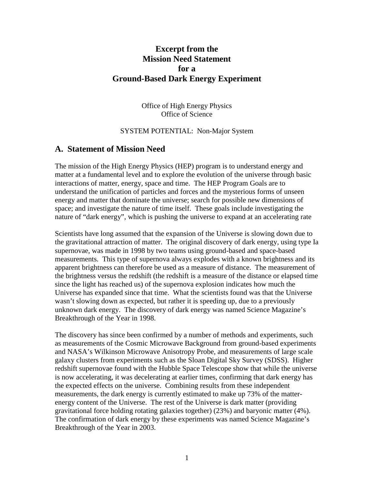### **Excerpt from the Mission Need Statement for a Ground-Based Dark Energy Experiment**

Office of High Energy Physics Office of Science

#### SYSTEM POTENTIAL: Non-Major System

#### **A. Statement of Mission Need**

The mission of the High Energy Physics (HEP) program is to understand energy and matter at a fundamental level and to explore the evolution of the universe through basic interactions of matter, energy, space and time. The HEP Program Goals are to understand the unification of particles and forces and the mysterious forms of unseen energy and matter that dominate the universe; search for possible new dimensions of space; and investigate the nature of time itself. These goals include investigating the nature of "dark energy", which is pushing the universe to expand at an accelerating rate

Scientists have long assumed that the expansion of the Universe is slowing down due to the gravitational attraction of matter. The original discovery of dark energy, using type Ia supernovae, was made in 1998 by two teams using ground-based and space-based measurements. This type of supernova always explodes with a known brightness and its apparent brightness can therefore be used as a measure of distance. The measurement of the brightness versus the redshift (the redshift is a measure of the distance or elapsed time since the light has reached us) of the supernova explosion indicates how much the Universe has expanded since that time. What the scientists found was that the Universe wasn't slowing down as expected, but rather it is speeding up, due to a previously unknown dark energy. The discovery of dark energy was named Science Magazine's Breakthrough of the Year in 1998.

The discovery has since been confirmed by a number of methods and experiments, such as measurements of the Cosmic Microwave Background from ground-based experiments and NASA's Wilkinson Microwave Anisotropy Probe, and measurements of large scale galaxy clusters from experiments such as the Sloan Digital Sky Survey (SDSS). Higher redshift supernovae found with the Hubble Space Telescope show that while the universe is now accelerating, it was decelerating at earlier times, confirming that dark energy has the expected effects on the universe. Combining results from these independent measurements, the dark energy is currently estimated to make up 73% of the matterenergy content of the Universe. The rest of the Universe is dark matter (providing gravitational force holding rotating galaxies together) (23%) and baryonic matter (4%). The confirmation of dark energy by these experiments was named Science Magazine's Breakthrough of the Year in 2003.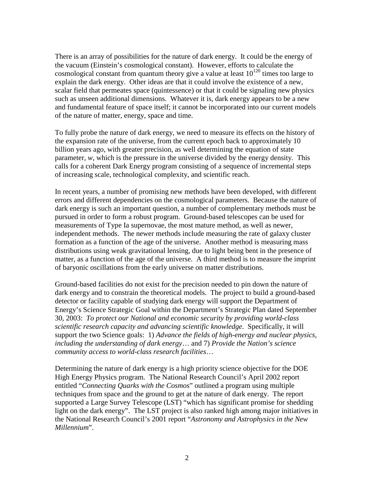There is an array of possibilities for the nature of dark energy. It could be the energy of the vacuum (Einstein's cosmological constant). However, efforts to calculate the cosmological constant from quantum theory give a value at least  $10^{120}$  times too large to explain the dark energy. Other ideas are that it could involve the existence of a new, scalar field that permeates space (quintessence) or that it could be signaling new physics such as unseen additional dimensions. Whatever it is, dark energy appears to be a new and fundamental feature of space itself; it cannot be incorporated into our current models of the nature of matter, energy, space and time.

To fully probe the nature of dark energy, we need to measure its effects on the history of the expansion rate of the universe, from the current epoch back to approximately 10 billion years ago, with greater precision, as well determining the equation of state parameter, *w*, which is the pressure in the universe divided by the energy density. This calls for a coherent Dark Energy program consisting of a sequence of incremental steps of increasing scale, technological complexity, and scientific reach.

In recent years, a number of promising new methods have been developed, with different errors and different dependencies on the cosmological parameters. Because the nature of dark energy is such an important question, a number of complementary methods must be pursued in order to form a robust program. Ground-based telescopes can be used for measurements of Type Ia supernovae, the most mature method, as well as newer, independent methods. The newer methods include measuring the rate of galaxy cluster formation as a function of the age of the universe. Another method is measuring mass distributions using weak gravitational lensing, due to light being bent in the presence of matter, as a function of the age of the universe. A third method is to measure the imprint of baryonic oscillations from the early universe on matter distributions.

Ground-based facilities do not exist for the precision needed to pin down the nature of dark energy and to constrain the theoretical models. The project to build a ground-based detector or facility capable of studying dark energy will support the Department of Energy's Science Strategic Goal within the Department's Strategic Plan dated September 30, 2003: *To protect our National and economic security by providing world-class scientific research capacity and advancing scientific knowledge*. Specifically, it will support the two Science goals: 1) *Advance the fields of high-energy and nuclear physics, including the understanding of dark energy*… and 7) *Provide the Nation's science community access to world-class research facilities*…

Determining the nature of dark energy is a high priority science objective for the DOE High Energy Physics program. The National Research Council's April 2002 report entitled "*Connecting Quarks with the Cosmos*" outlined a program using multiple techniques from space and the ground to get at the nature of dark energy. The report supported a Large Survey Telescope (LST) "which has significant promise for shedding light on the dark energy". The LST project is also ranked high among major initiatives in the National Research Council's 2001 report "*Astronomy and Astrophysics in the New Millennium*".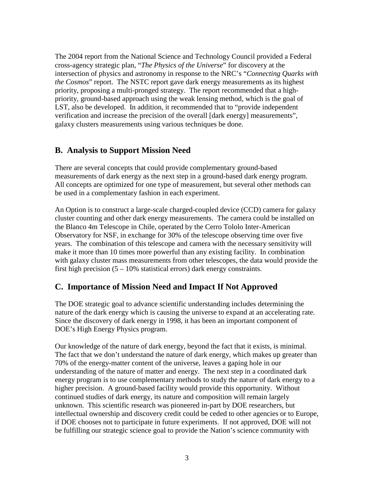The 2004 report from the National Science and Technology Council provided a Federal cross-agency strategic plan, "*The Physics of the Universe*" for discovery at the intersection of physics and astronomy in response to the NRC's "*Connecting Quarks with the Cosmos*" report. The NSTC report gave dark energy measurements as its highest priority, proposing a multi-pronged strategy. The report recommended that a highpriority, ground-based approach using the weak lensing method, which is the goal of LST, also be developed. In addition, it recommended that to "provide independent verification and increase the precision of the overall [dark energy] measurements", galaxy clusters measurements using various techniques be done.

## **B. Analysis to Support Mission Need**

There are several concepts that could provide complementary ground-based measurements of dark energy as the next step in a ground-based dark energy program. All concepts are optimized for one type of measurement, but several other methods can be used in a complementary fashion in each experiment.

An Option is to construct a large-scale charged-coupled device (CCD) camera for galaxy cluster counting and other dark energy measurements. The camera could be installed on the Blanco 4m Telescope in Chile, operated by the Cerro Tololo Inter-American Observatory for NSF, in exchange for 30% of the telescope observing time over five years. The combination of this telescope and camera with the necessary sensitivity will make it more than 10 times more powerful than any existing facility. In combination with galaxy cluster mass measurements from other telescopes, the data would provide the first high precision  $(5 - 10\%$  statistical errors) dark energy constraints.

# **C. Importance of Mission Need and Impact If Not Approved**

The DOE strategic goal to advance scientific understanding includes determining the nature of the dark energy which is causing the universe to expand at an accelerating rate. Since the discovery of dark energy in 1998, it has been an important component of DOE's High Energy Physics program.

Our knowledge of the nature of dark energy, beyond the fact that it exists, is minimal. The fact that we don't understand the nature of dark energy, which makes up greater than 70% of the energy-matter content of the universe, leaves a gaping hole in our understanding of the nature of matter and energy. The next step in a coordinated dark energy program is to use complementary methods to study the nature of dark energy to a higher precision. A ground-based facility would provide this opportunity. Without continued studies of dark energy, its nature and composition will remain largely unknown. This scientific research was pioneered in-part by DOE researchers, but intellectual ownership and discovery credit could be ceded to other agencies or to Europe, if DOE chooses not to participate in future experiments. If not approved, DOE will not be fulfilling our strategic science goal to provide the Nation's science community with